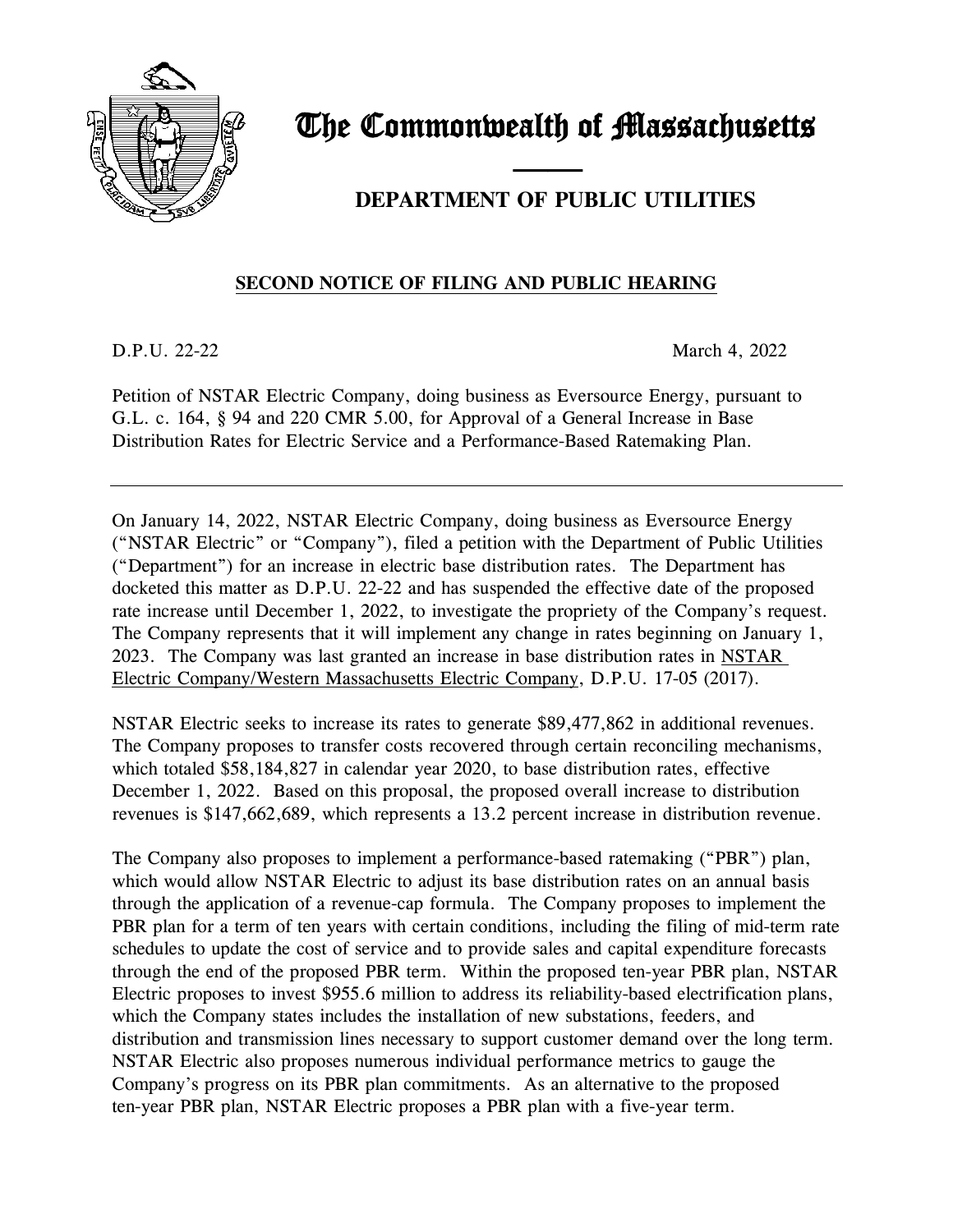

# The Commonwealth of Massachusetts

## and the contract of the contract of **DEPARTMENT OF PUBLIC UTILITIES**

### **SECOND NOTICE OF FILING AND PUBLIC HEARING**

D.P.U. 22-22 March 4, 2022

Petition of NSTAR Electric Company, doing business as Eversource Energy, pursuant to G.L. c. 164, § 94 and 220 CMR 5.00, for Approval of a General Increase in Base Distribution Rates for Electric Service and a Performance-Based Ratemaking Plan.

On January 14, 2022, NSTAR Electric Company, doing business as Eversource Energy ("NSTAR Electric" or "Company"), filed a petition with the Department of Public Utilities ("Department") for an increase in electric base distribution rates. The Department has docketed this matter as D.P.U. 22-22 and has suspended the effective date of the proposed rate increase until December 1, 2022, to investigate the propriety of the Company's request. The Company represents that it will implement any change in rates beginning on January 1, 2023. The Company was last granted an increase in base distribution rates in NSTAR Electric Company/Western Massachusetts Electric Company, D.P.U. 17-05 (2017).

NSTAR Electric seeks to increase its rates to generate \$89,477,862 in additional revenues. The Company proposes to transfer costs recovered through certain reconciling mechanisms, which totaled \$58,184,827 in calendar year 2020, to base distribution rates, effective December 1, 2022. Based on this proposal, the proposed overall increase to distribution revenues is \$147,662,689, which represents a 13.2 percent increase in distribution revenue.

The Company also proposes to implement a performance-based ratemaking ("PBR") plan, which would allow NSTAR Electric to adjust its base distribution rates on an annual basis through the application of a revenue-cap formula. The Company proposes to implement the PBR plan for a term of ten years with certain conditions, including the filing of mid-term rate schedules to update the cost of service and to provide sales and capital expenditure forecasts through the end of the proposed PBR term. Within the proposed ten-year PBR plan, NSTAR Electric proposes to invest \$955.6 million to address its reliability-based electrification plans, which the Company states includes the installation of new substations, feeders, and distribution and transmission lines necessary to support customer demand over the long term. NSTAR Electric also proposes numerous individual performance metrics to gauge the Company's progress on its PBR plan commitments. As an alternative to the proposed ten-year PBR plan, NSTAR Electric proposes a PBR plan with a five-year term.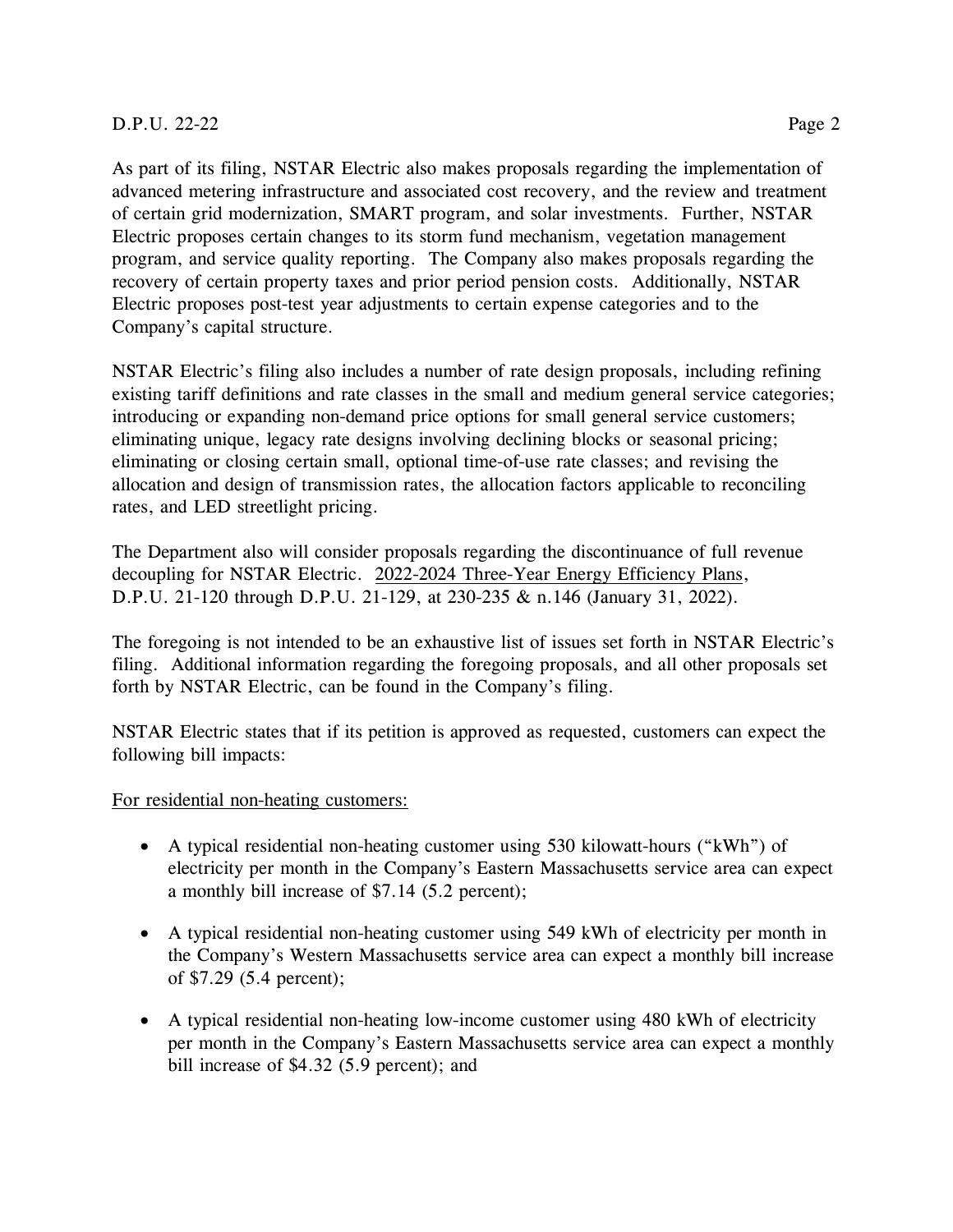#### D.P.U. 22-22 Page 2

As part of its filing, NSTAR Electric also makes proposals regarding the implementation of advanced metering infrastructure and associated cost recovery, and the review and treatment of certain grid modernization, SMART program, and solar investments. Further, NSTAR Electric proposes certain changes to its storm fund mechanism, vegetation management program, and service quality reporting. The Company also makes proposals regarding the recovery of certain property taxes and prior period pension costs. Additionally, NSTAR Electric proposes post-test year adjustments to certain expense categories and to the

Company's capital structure.

NSTAR Electric's filing also includes a number of rate design proposals, including refining existing tariff definitions and rate classes in the small and medium general service categories; introducing or expanding non-demand price options for small general service customers; eliminating unique, legacy rate designs involving declining blocks or seasonal pricing; eliminating or closing certain small, optional time-of-use rate classes; and revising the allocation and design of transmission rates, the allocation factors applicable to reconciling rates, and LED streetlight pricing.

The Department also will consider proposals regarding the discontinuance of full revenue decoupling for NSTAR Electric. 2022-2024 Three-Year Energy Efficiency Plans, D.P.U. 21-120 through D.P.U. 21-129, at 230-235 & n.146 (January 31, 2022).

The foregoing is not intended to be an exhaustive list of issues set forth in NSTAR Electric's filing. Additional information regarding the foregoing proposals, and all other proposals set forth by NSTAR Electric, can be found in the Company's filing.

NSTAR Electric states that if its petition is approved as requested, customers can expect the following bill impacts:

#### For residential non-heating customers:

- A typical residential non-heating customer using 530 kilowatt-hours ("kWh") of electricity per month in the Company's Eastern Massachusetts service area can expect a monthly bill increase of \$7.14 (5.2 percent);
- A typical residential non-heating customer using 549 kWh of electricity per month in the Company's Western Massachusetts service area can expect a monthly bill increase of \$7.29 (5.4 percent);
- A typical residential non-heating low-income customer using 480 kWh of electricity per month in the Company's Eastern Massachusetts service area can expect a monthly bill increase of \$4.32 (5.9 percent); and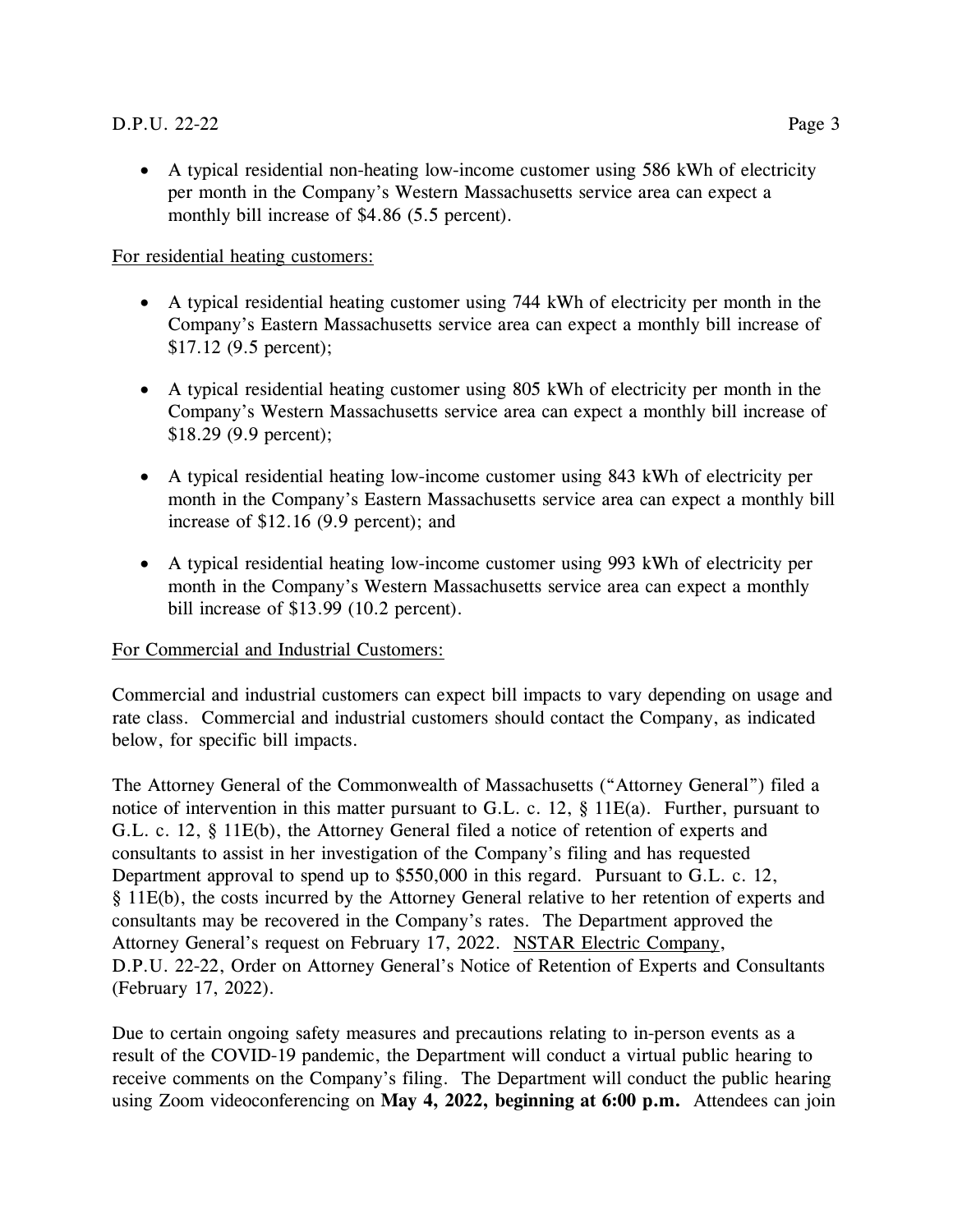• A typical residential non-heating low-income customer using 586 kWh of electricity per month in the Company's Western Massachusetts service area can expect a monthly bill increase of \$4.86 (5.5 percent).

For residential heating customers:

- A typical residential heating customer using 744 kWh of electricity per month in the Company's Eastern Massachusetts service area can expect a monthly bill increase of \$17.12 (9.5 percent);
- A typical residential heating customer using 805 kWh of electricity per month in the Company's Western Massachusetts service area can expect a monthly bill increase of \$18.29 (9.9 percent);
- A typical residential heating low-income customer using 843 kWh of electricity per month in the Company's Eastern Massachusetts service area can expect a monthly bill increase of \$12.16 (9.9 percent); and
- A typical residential heating low-income customer using 993 kWh of electricity per month in the Company's Western Massachusetts service area can expect a monthly bill increase of \$13.99 (10.2 percent).

#### For Commercial and Industrial Customers:

Commercial and industrial customers can expect bill impacts to vary depending on usage and rate class. Commercial and industrial customers should contact the Company, as indicated below, for specific bill impacts.

The Attorney General of the Commonwealth of Massachusetts ("Attorney General") filed a notice of intervention in this matter pursuant to G.L. c. 12, § 11E(a). Further, pursuant to G.L. c. 12, § 11E(b), the Attorney General filed a notice of retention of experts and consultants to assist in her investigation of the Company's filing and has requested Department approval to spend up to \$550,000 in this regard. Pursuant to G.L. c. 12, § 11E(b), the costs incurred by the Attorney General relative to her retention of experts and consultants may be recovered in the Company's rates. The Department approved the Attorney General's request on February 17, 2022. NSTAR Electric Company, D.P.U. 22-22, Order on Attorney General's Notice of Retention of Experts and Consultants (February 17, 2022).

Due to certain ongoing safety measures and precautions relating to in-person events as a result of the COVID-19 pandemic, the Department will conduct a virtual public hearing to receive comments on the Company's filing. The Department will conduct the public hearing using Zoom videoconferencing on **May 4, 2022, beginning at 6:00 p.m.** Attendees can join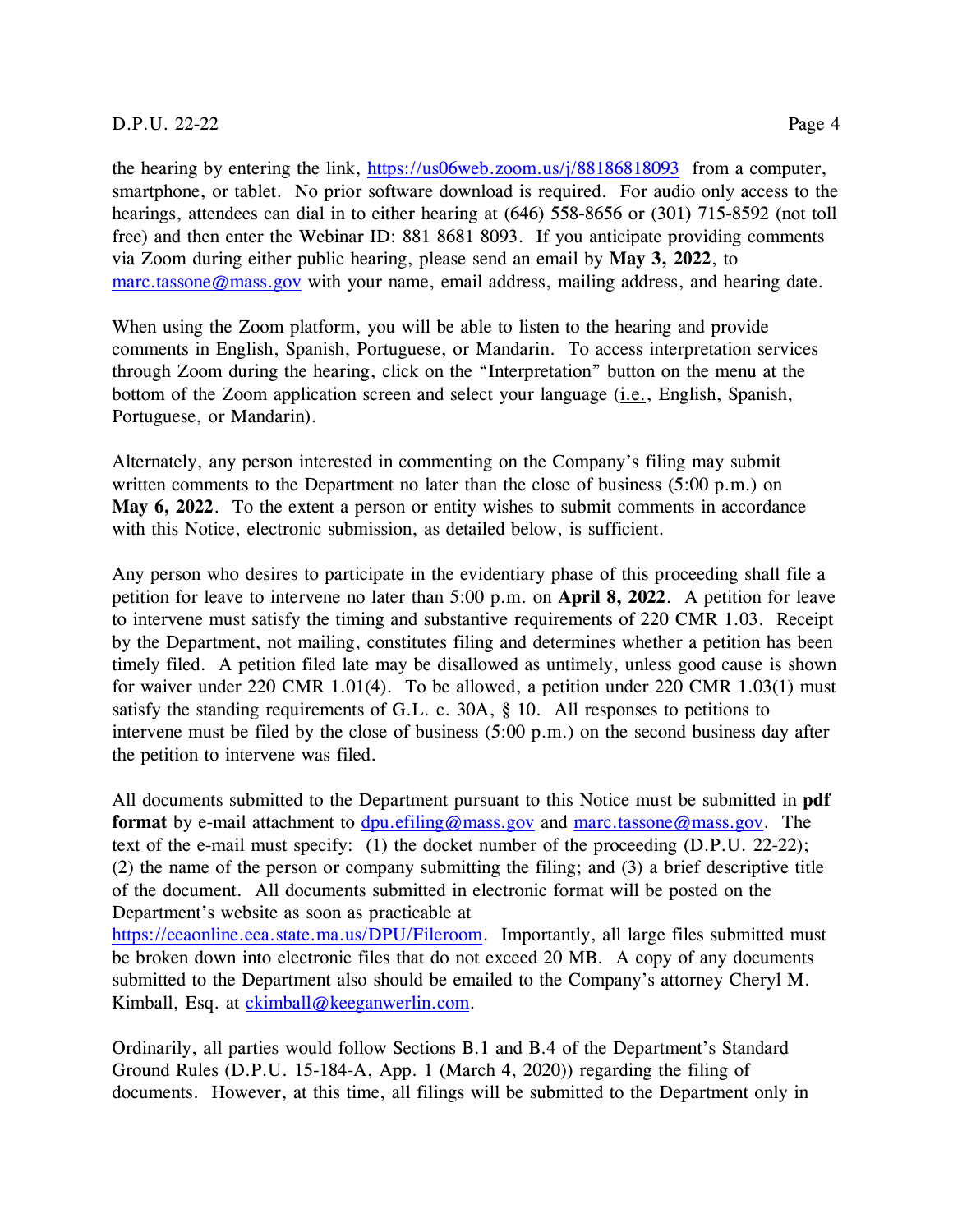the hearing by entering the link, <https://us06web.zoom.us/j/88186818093> from a computer, smartphone, or tablet. No prior software download is required. For audio only access to the hearings, attendees can dial in to either hearing at (646) 558-8656 or (301) 715-8592 (not toll free) and then enter the Webinar ID: 881 8681 8093. If you anticipate providing comments via Zoom during either public hearing, please send an email by **May 3, 2022**, to [marc.tassone@mass.gov](mailto:marc.tassone@mass.gov) with your name, email address, mailing address, and hearing date.

When using the Zoom platform, you will be able to listen to the hearing and provide comments in English, Spanish, Portuguese, or Mandarin. To access interpretation services through Zoom during the hearing, click on the "Interpretation" button on the menu at the bottom of the Zoom application screen and select your language (i.e., English, Spanish, Portuguese, or Mandarin).

Alternately, any person interested in commenting on the Company's filing may submit written comments to the Department no later than the close of business (5:00 p.m.) on **May 6, 2022**. To the extent a person or entity wishes to submit comments in accordance with this Notice, electronic submission, as detailed below, is sufficient.

Any person who desires to participate in the evidentiary phase of this proceeding shall file a petition for leave to intervene no later than 5:00 p.m. on **April 8, 2022**. A petition for leave to intervene must satisfy the timing and substantive requirements of 220 CMR 1.03. Receipt by the Department, not mailing, constitutes filing and determines whether a petition has been timely filed. A petition filed late may be disallowed as untimely, unless good cause is shown for waiver under 220 CMR 1.01(4). To be allowed, a petition under 220 CMR 1.03(1) must satisfy the standing requirements of G.L. c. 30A, § 10. All responses to petitions to intervene must be filed by the close of business (5:00 p.m.) on the second business day after the petition to intervene was filed.

All documents submitted to the Department pursuant to this Notice must be submitted in **pdf format** by e-mail attachment to [dpu.efiling@mass.gov](mailto:dpu.efiling@mass.gov) and [marc.tassone@mass.gov.](mailto:marc.tassone@mass.gov) The text of the e-mail must specify: (1) the docket number of the proceeding (D.P.U. 22-22); (2) the name of the person or company submitting the filing; and (3) a brief descriptive title of the document. All documents submitted in electronic format will be posted on the Department's website as soon as practicable at

[https://eeaonline.eea.state.ma.us/DPU/Fileroom.](https://eeaonline.eea.state.ma.us/DPU/Fileroom) Importantly, all large files submitted must be broken down into electronic files that do not exceed 20 MB. A copy of any documents submitted to the Department also should be emailed to the Company's attorney Cheryl M. Kimball, Esq. at [ckimball@keeganwerlin.com.](mailto:ckimball@keeganwerlin.com)

Ordinarily, all parties would follow Sections B.1 and B.4 of the Department's Standard Ground Rules (D.P.U. 15-184-A, App. 1 (March 4, 2020)) regarding the filing of documents. However, at this time, all filings will be submitted to the Department only in